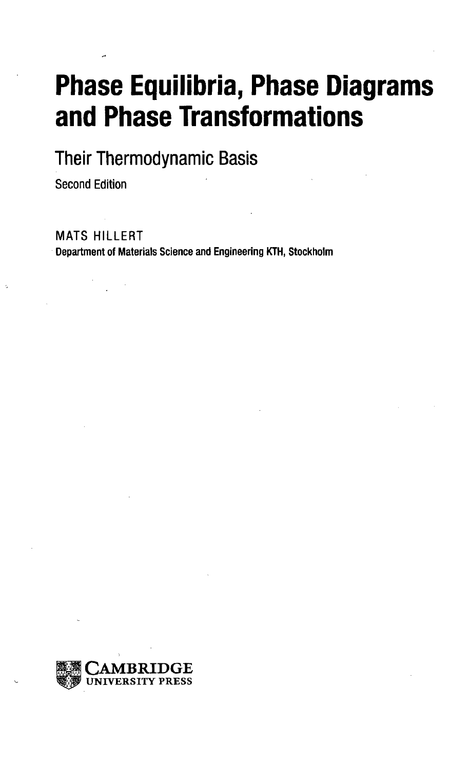# **Phase Equilibria, Phase Diagrams and Phase Transformations**

**Their Thermodynamic Basis**

Second Edition

MATS HILLERT

**Department of Materials Science and Engineering KTH, Stockholm**

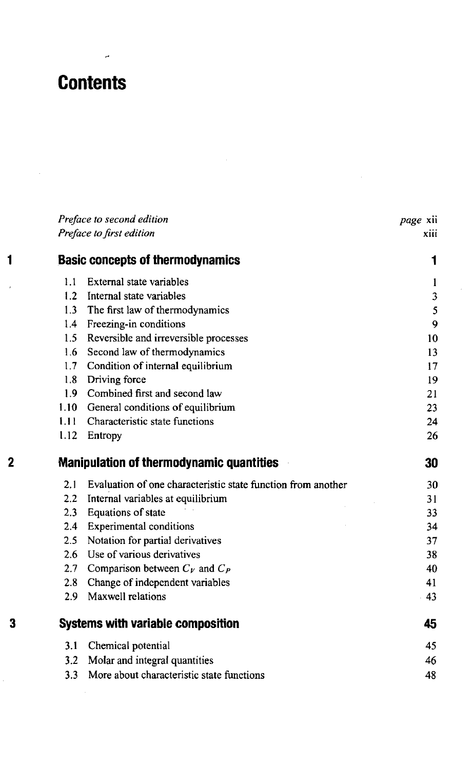# **Contents**

 $\mathbf{1}$ 

J

 $\overline{2}$ 

 $\overline{\mathbf{3}}$ 

J.

|                          | Preface to second edition                                    |             |
|--------------------------|--------------------------------------------------------------|-------------|
| Preface to first edition |                                                              | xiii        |
|                          | <b>Basic concepts of thermodynamics</b>                      | 1           |
| 1.1                      | External state variables                                     | 1           |
| 1.2                      | Internal state variables                                     | 3           |
| 1.3                      | The first law of thermodynamics                              | $\mathsf S$ |
| 1.4                      | Freezing-in conditions                                       | 9           |
| 1.5                      | Reversible and irreversible processes                        | 10          |
| 1.6                      | Second law of thermodynamics                                 | 13          |
| 1.7                      | Condition of internal equilibrium                            | 17          |
| 1,8                      | Driving force                                                | 19          |
| 1.9                      | Combined first and second law                                | 21          |
| 1.10                     | General conditions of equilibrium                            | 23          |
| 1.11                     | Characteristic state functions                               | 24          |
| 1.12                     | Entropy                                                      | 26          |
|                          | <b>Manipulation of thermodynamic quantities</b>              | 30          |
| 2.1                      | Evaluation of one characteristic state function from another | 30          |
| $2.2^{\circ}$            | Internal variables at equilibrium                            | 31          |
| 2.3                      | Equations of state                                           | 33          |
| 2.4                      | <b>Experimental conditions</b>                               | 34          |
| 2.5                      | Notation for partial derivatives                             | 37          |
| 2.6                      | Use of various derivatives                                   | 38          |
| 2.7 <sup>2</sup>         | Comparison between $C_V$ and $C_P$                           | 40          |
| 2.8                      | Change of independent variables                              | 41          |
| $2.9^{\circ}$            | Maxwell relations                                            | 43          |
|                          | <b>Systems with variable composition</b>                     | 45          |
| 3.1                      | Chemical potential                                           | 45          |
| 3.2                      | Molar and integral quantities                                | 46          |
| 3.3                      | More about characteristic state functions                    | 48          |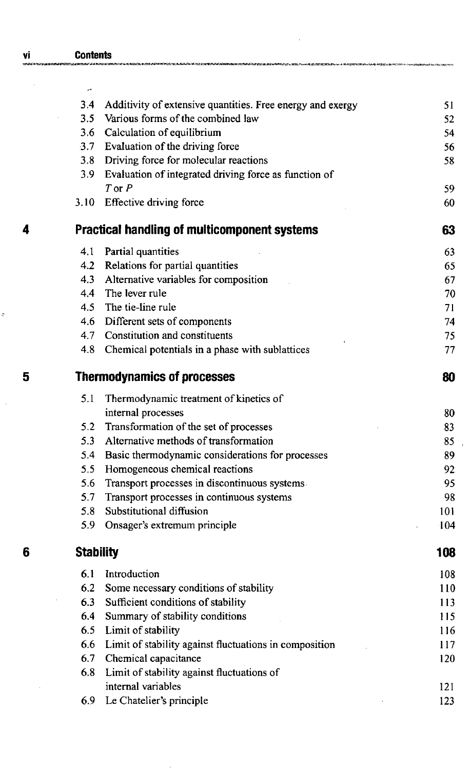|   | 3.4              | Additivity of extensive quantities. Free energy and exergy | 51  |
|---|------------------|------------------------------------------------------------|-----|
|   |                  | 3.5 Various forms of the combined law                      | 52  |
|   |                  | 3.6 Calculation of equilibrium                             | 54  |
|   |                  | 3.7 Evaluation of the driving force                        | 56  |
|   |                  | 3.8 Driving force for molecular reactions                  | 58  |
|   | 3.9              | Evaluation of integrated driving force as function of      |     |
|   |                  | $T$ or $P$                                                 | 59  |
|   |                  | 3.10 Effective driving force                               | 60  |
| 4 |                  | <b>Practical handling of multicomponent systems</b>        | 63  |
|   | 4.1              | Partial quantities                                         | 63  |
|   | 4.2              | Relations for partial quantities                           | 65  |
|   | 4.3              | Alternative variables for composition                      | 67  |
|   | 4.4              | The lever rule                                             | 70  |
|   |                  | 4.5 The tie-line rule                                      | 71  |
|   |                  | 4.6 Different sets of components                           | 74  |
|   |                  | 4.7 Constitution and constituents                          | 75  |
|   |                  | 4.8 Chemical potentials in a phase with sublattices        | 77  |
| 5 |                  | <b>Thermodynamics of processes</b>                         | 80  |
|   | 5.1              | Thermodynamic treatment of kinetics of                     |     |
|   |                  | internal processes                                         | 80  |
|   | 5.2              | Transformation of the set of processes                     | 83  |
|   | 5.3              | Alternative methods of transformation                      | 85  |
|   |                  | 5.4 Basic thermodynamic considerations for processes       | 89  |
|   |                  | 5.5 Homogeneous chemical reactions                         | 92  |
|   | 5.6              | Transport processes in discontinuous systems.              | 95  |
|   | 5.7              | Transport processes in continuous systems                  | 98  |
|   | 5.8              | Substitutional diffusion                                   | 101 |
|   |                  | 5.9 Onsager's extremum principle                           | 104 |
| 6 | <b>Stability</b> |                                                            | 108 |
|   | 6.1              | Introduction                                               | 108 |
|   | 6.2              | Some necessary conditions of stability                     | 110 |
|   | 6.3              | Sufficient conditions of stability                         | 113 |
|   | 6.4              | Summary of stability conditions                            | 115 |
|   | 6.5              | Limit of stability                                         | 116 |
|   | 6.6              | Limit of stability against fluctuations in composition     | 117 |
|   | 6.7              | Chemical capacitance                                       | 120 |
|   | 6.8              | Limit of stability against fluctuations of                 |     |
|   |                  | internal variables                                         | 121 |
|   | 6.9              | Le Chatelier's principle                                   | 123 |

ŗ.

 $\hat{Q}$ 

 $\overline{\phantom{a}}$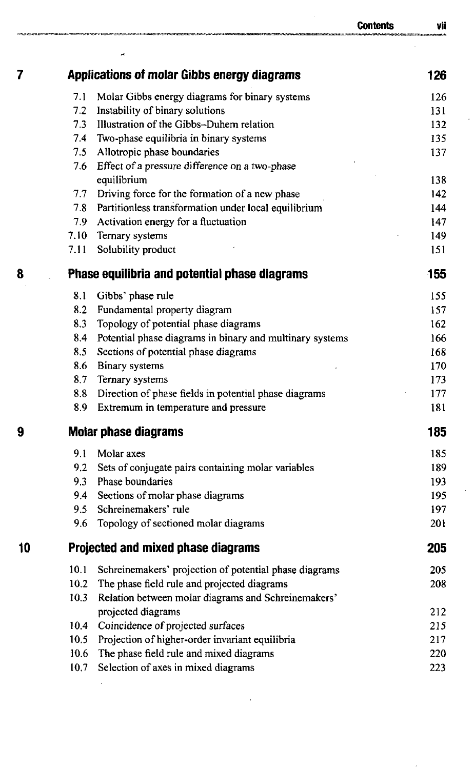|    |          |                                                               | Contents | Vii |
|----|----------|---------------------------------------------------------------|----------|-----|
| 7  |          | <b>Applications of molar Gibbs energy diagrams</b>            |          | 126 |
|    |          |                                                               |          |     |
|    | 7.1      | Molar Gibbs energy diagrams for binary systems                |          | 126 |
|    | 7.2      | Instability of binary solutions                               |          | 131 |
|    | 7.3      | Illustration of the Gibbs-Duhem relation                      |          | 132 |
|    | 7.4      | Two-phase equilibria in binary systems                        |          | 135 |
|    | 7.5      | Allotropic phase boundaries                                   |          | 137 |
|    | 7.6      | Effect of a pressure difference on a two-phase<br>equilibrium |          | 138 |
|    | 7.7      | Driving force for the formation of a new phase                |          | 142 |
|    | 7.8      | Partitionless transformation under local equilibrium          |          | 144 |
|    | 7.9      | Activation energy for a fluctuation                           |          | 147 |
|    | $7.10 -$ | Ternary systems                                               |          | 149 |
|    | 7.11     | Solubility product                                            |          | 151 |
| 8  |          | Phase equilibria and potential phase diagrams                 |          | 155 |
|    |          |                                                               |          |     |
|    | 8.1      | Gibbs' phase rule                                             |          | 155 |
|    | 8.2      | Fundamental property diagram                                  |          | 157 |
|    | 8.3      | Topology of potential phase diagrams                          |          | 162 |
|    | 8.4      | Potential phase diagrams in binary and multinary systems      |          | 166 |
|    | 8.5      | Sections of potential phase diagrams                          |          | 168 |
|    | 8.6      | Binary systems                                                |          | 170 |
|    | 8.7      | Ternary systems                                               |          | 173 |
|    | 8.8      | Direction of phase fields in potential phase diagrams         |          | 177 |
|    | 8.9      | Extremum in temperature and pressure                          |          | 181 |
| 9  |          | <b>Molar phase diagrams</b>                                   |          | 185 |
|    | 9.1      | Molar axes                                                    |          | 185 |
|    | 9.2      | Sets of conjugate pairs containing molar variables            |          | 189 |
|    | 9.3      | Phase boundaries                                              |          | 193 |
|    | 9.4      | Sections of molar phase diagrams                              |          | 195 |
|    | 9.5      | Schreinemakers' rule                                          |          | 197 |
|    | 9.6      | Topology of sectioned molar diagrams                          |          | 201 |
| 10 |          | Projected and mixed phase diagrams                            |          | 205 |
|    | 10.1     | Schreinemakers' projection of potential phase diagrams        |          | 205 |
|    | 10.2     | The phase field rule and projected diagrams                   |          | 208 |
|    | 10.3     | Relation between molar diagrams and Schreinemakers'           |          |     |
|    |          | projected diagrams                                            |          | 212 |
|    | 10.4     | Coincidence of projected surfaces                             |          | 215 |
|    | 10.5     | Projection of higher-order invariant equilibria               |          | 217 |
|    | 10.6     | The phase field rule and mixed diagrams                       |          | 220 |
|    | 10.7     | Selection of axes in mixed diagrams                           |          | 223 |
|    |          |                                                               |          |     |

l,

 $\ddot{\phantom{0}}$ 

Ŷ,

ł,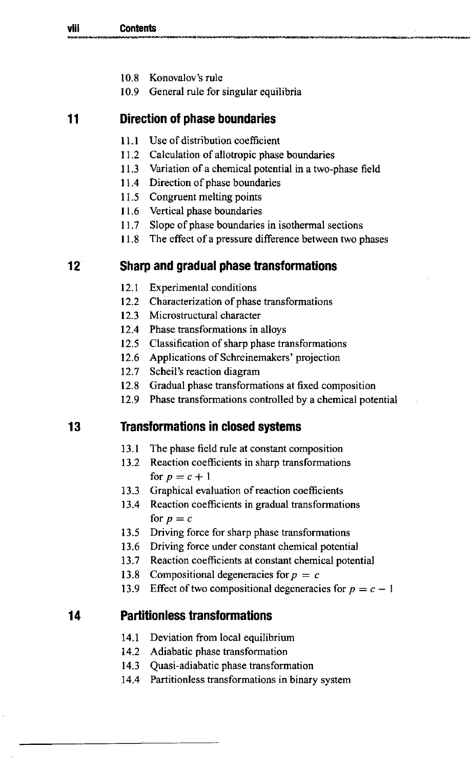- 10.8 Konovalov's rule
- 10.9 General rule for singular equilibria

# **11 Direction of phase boundaries**

- 11.1 Use of distribution coefficient
- 11.2 Calculation of allotropic phase boundaries
- 11.3 Variation of a chemical potential in a two-phase field
- 11.4 Direction of phase boundaries
- 11.5 Congruent melting points
- 11.6 Vertical phase boundaries
- 11.7 Slope of phase boundaries in isothermal sections
- 11.8 The effect of a pressure difference between two phases

# **12 Sharp and gradual phase transformations**

- 12.1 Experimental conditions
- 12.2 Characterization of phase transformations
- 12.3 Microstructural character
- 12.4 Phase transformations in alloys
- 12.5 Classification of sharp phase transformations
- 12.6 Applications of Schreinemakers' projection
- 12.7 Scheil's reaction diagram
- 12.8 Gradual phase transformations at fixed composition
- 12.9 Phase transformations controlled by a chemical potential

# **13 Transformations in closed systems**

- 13.1 The phase field rule at constant composition
- 13.2 Reaction coefficients in sharp transformations for  $p = c + 1$
- 13.3 Graphical evaluation of reaction coefficients
- 13.4 Reaction coefficients in gradual transformations for  $p = c$
- 13.5 Driving force for sharp phase transformations
- 13.6 Driving force under constant chemical potential
- 13.7 Reaction coefficients at constant chemical potential
- 13.8 Compositional degeneracies for*p* = *c*
- 13.9 Effect of two compositional degeneracies for  $p = c 1$

# **14 Partitionless transformations**

- 14.1 Deviation from local equilibrium
- 14.2 Adiabatic phase transformation
- 14.3 Quasi-adiabatic phase transformation
- 14.4 Partitionless transformations in binary system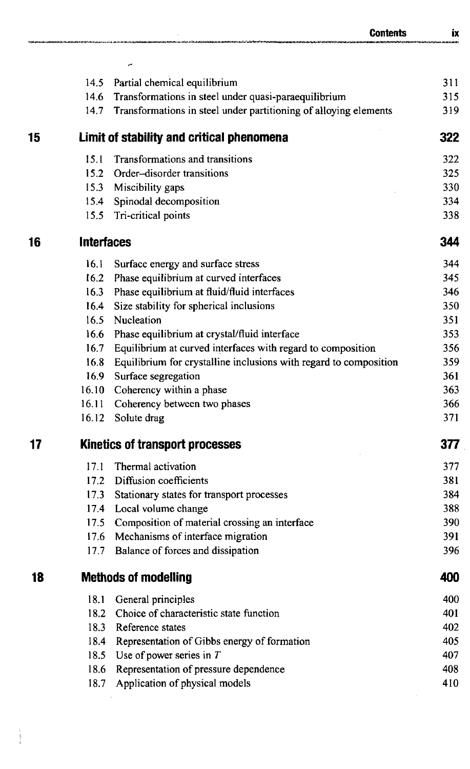|    |                   | <b>Contents</b>                                                   | IX  |
|----|-------------------|-------------------------------------------------------------------|-----|
|    |                   |                                                                   |     |
|    | 14.5              | Partial chemical equilibrium                                      | 311 |
|    | 14.6              | Transformations in steel under quasi-paraequilibrium              | 315 |
|    | 14.7              | Transformations in steel under partitioning of alloying elements  | 319 |
| 15 |                   | Limit of stability and critical phenomena                         | 322 |
|    | 15.1              | Transformations and transitions                                   | 322 |
|    | 15.2              | Order-disorder transitions                                        | 325 |
|    | 15.3              | Miscibility gaps                                                  | 330 |
|    | 15.4              | Spinodal decomposition                                            | 334 |
|    | 15.5              | Tri-critical points                                               | 338 |
| 16 | <b>Interfaces</b> |                                                                   | 344 |
|    | 16.1              | Surface energy and surface stress                                 | 344 |
|    | 16.2              | Phase equilibrium at curved interfaces                            | 345 |
|    | 16.3              | Phase equilibrium at fluid/fluid interfaces                       | 346 |
|    | 16.4              | Size stability for spherical inclusions                           | 350 |
|    | 16.5              | Nucleation                                                        | 351 |
|    | 16.6              | Phase equilibrium at crystal/fluid interface                      | 353 |
|    | 16.7              | Equilibrium at curved interfaces with regard to composition       | 356 |
|    | 16.8              | Equilibrium for crystalline inclusions with regard to composition | 359 |
|    | 16.9              | Surface segregation                                               | 361 |
|    | 16.10             | Coherency within a phase                                          | 363 |
|    | 16.11             | Coherency between two phases                                      | 366 |
|    | 16.12             | Solute drag                                                       | 371 |
| 17 |                   | Kinetics of transport processes                                   | 377 |
|    | 17.1              | Thermal activation                                                | 377 |
|    | 17.2              | Diffusion coefficients                                            | 381 |
|    | 17.3              | Stationary states for transport processes                         | 384 |
|    | 17.4              | Local volume change                                               | 388 |
|    | 17.5              | Composition of material crossing an interface                     | 390 |
|    | 17.6              | Mechanisms of interface migration                                 | 391 |
|    | 17.7              | Balance of forces and dissipation                                 | 396 |
| 18 |                   | <b>Methods of modelling</b>                                       | 400 |
|    | 18.1              | General principles                                                | 400 |
|    | 18.2              | Choice of characteristic state function                           | 401 |
|    | 18.3              | Reference states                                                  | 402 |
|    | 18.4              | Representation of Gibbs energy of formation                       | 405 |
|    | 18.5              | Use of power series in $T$                                        | 407 |
|    | 18.6              | Representation of pressure dependence                             | 408 |
|    | 18.7              | Application of physical models                                    | 410 |
|    |                   |                                                                   |     |

医鼻炎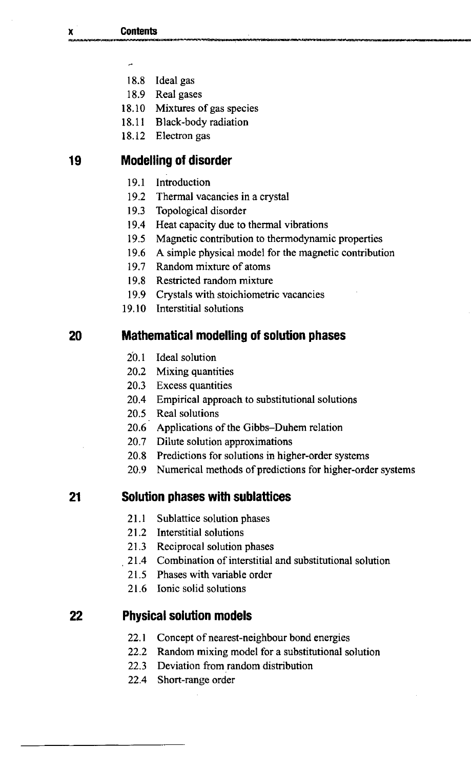- $\overline{a}$
- 18.8 Ideal gas
- 18.9 Real gases
- 18.10 Mixtures of gas species
- 18.11 Black-body radiation
- 18.12 Electron gas

#### **19 Modelling of disorder**

- 19.1 Introduction
- 19.2 Thermal vacancies in a crystal
- 19.3 Topological disorder
- 19.4 Heat capacity due to thermal vibrations
- 19.5 Magnetic contribution to thermodynamic properties
- 19.6 A simple physical model for the magnetic contribution
- 19.7 Random mixture of atoms
- 19.8 Restricted random mixture
- 19.9 Crystals with stoichiometric vacancies
- 19.10 Interstitial solutions

#### **20 Mathematical modelling of solution phases**

- 20.1 Ideal solution
- 20.2 Mixing quantities
- 20.3 Excess quantities
- 20.4 Empirical approach to substitutional solutions
- 20.5 Real solutions
- 20.6 Applications of the Gibbs-Duhem relation
- 20.7 Dilute solution approximations
- 20.8 Predictions for solutions in higher-order systems
- 20.9 Numerical methods of predictions for higher-order systems

#### **21 Solution phases with sublattices**

- 21.1 Sublattice solution phases
- 21.2 Interstitial solutions
- 21.3 Reciprocal solution phases
- 21.4 Combination of interstitial and substitutional solution
- 21.5 Phases with variable order
- 21.6 Ionic solid solutions

#### **22 Physical solution models**

- 22.1 Concept of nearest-neighbour bond energies
- 22.2 Random mixing model for a substitutional solution
- 22.3 Deviation from random distribution
- 22.4 Short-range order